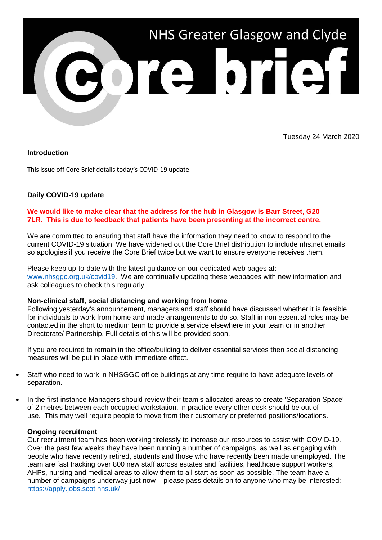

Tuesday 24 March 2020

# **Introduction**

This issue off Core Brief details today's COVID-19 update.

# **Daily COVID-19 update**

# **We would like to make clear that the address for the hub in Glasgow is Barr Street, G20 7LR. This is due to feedback that patients have been presenting at the incorrect centre.**

We are committed to ensuring that staff have the information they need to know to respond to the current COVID-19 situation. We have widened out the Core Brief distribution to include nhs.net emails so apologies if you receive the Core Brief twice but we want to ensure everyone receives them.

Please keep up-to-date with the latest guidance on our dedicated web pages at: [www.nhsggc.org.uk/covid19.](http://www.nhsggc.org.uk/covid19) We are continually updating these webpages with new information and ask colleagues to check this regularly.

#### **Non-clinical staff, social distancing and working from home**

Following yesterday's announcement, managers and staff should have discussed whether it is feasible for individuals to work from home and made arrangements to do so. Staff in non essential roles may be contacted in the short to medium term to provide a service elsewhere in your team or in another Directorate/ Partnership. Full details of this will be provided soon.

If you are required to remain in the office/building to deliver essential services then social distancing measures will be put in place with immediate effect.

- Staff who need to work in NHSGGC office buildings at any time require to have adequate levels of separation.
- In the first instance Managers should review their team's allocated areas to create 'Separation Space' of 2 metres between each occupied workstation, in practice every other desk should be out of use. This may well require people to move from their customary or preferred positions/locations.

### **Ongoing recruitment**

Our recruitment team has been working tirelessly to increase our resources to assist with COVID-19. Over the past few weeks they have been running a number of campaigns, as well as engaging with people who have recently retired, students and those who have recently been made unemployed. The team are fast tracking over 800 new staff across estates and facilities, healthcare support workers, AHPs, nursing and medical areas to allow them to all start as soon as possible. The team have a number of campaigns underway just now – please pass details on to anyone who may be interested: <https://apply.jobs.scot.nhs.uk/>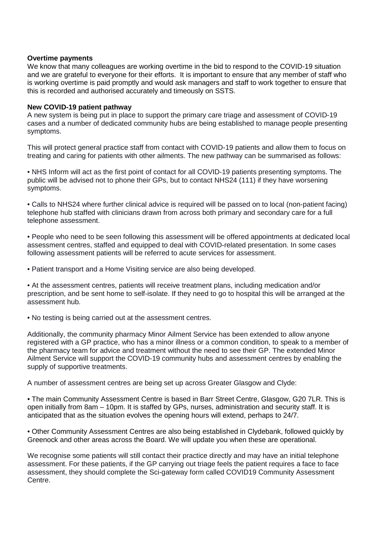### **Overtime payments**

We know that many colleagues are working overtime in the bid to respond to the COVID-19 situation and we are grateful to everyone for their efforts. It is important to ensure that any member of staff who is working overtime is paid promptly and would ask managers and staff to work together to ensure that this is recorded and authorised accurately and timeously on SSTS.

### **New COVID-19 patient pathway**

A new system is being put in place to support the primary care triage and assessment of COVID-19 cases and a number of dedicated community hubs are being established to manage people presenting symptoms.

This will protect general practice staff from contact with COVID-19 patients and allow them to focus on treating and caring for patients with other ailments. The new pathway can be summarised as follows:

• NHS Inform will act as the first point of contact for all COVID-19 patients presenting symptoms. The public will be advised not to phone their GPs, but to contact NHS24 (111) if they have worsening symptoms.

• Calls to NHS24 where further clinical advice is required will be passed on to local (non-patient facing) telephone hub staffed with clinicians drawn from across both primary and secondary care for a full telephone assessment.

• People who need to be seen following this assessment will be offered appointments at dedicated local assessment centres, staffed and equipped to deal with COVID-related presentation. In some cases following assessment patients will be referred to acute services for assessment.

• Patient transport and a Home Visiting service are also being developed.

• At the assessment centres, patients will receive treatment plans, including medication and/or prescription, and be sent home to self-isolate. If they need to go to hospital this will be arranged at the assessment hub.

• No testing is being carried out at the assessment centres.

Additionally, the community pharmacy Minor Ailment Service has been extended to allow anyone registered with a GP practice, who has a minor illness or a common condition, to speak to a member of the pharmacy team for advice and treatment without the need to see their GP. The extended Minor Ailment Service will support the COVID-19 community hubs and assessment centres by enabling the supply of supportive treatments.

A number of assessment centres are being set up across Greater Glasgow and Clyde:

• The main Community Assessment Centre is based in Barr Street Centre, Glasgow, G20 7LR. This is open initially from 8am – 10pm. It is staffed by GPs, nurses, administration and security staff. It is anticipated that as the situation evolves the opening hours will extend, perhaps to 24/7.

• Other Community Assessment Centres are also being established in Clydebank, followed quickly by Greenock and other areas across the Board. We will update you when these are operational.

We recognise some patients will still contact their practice directly and may have an initial telephone assessment. For these patients, if the GP carrying out triage feels the patient requires a face to face assessment, they should complete the Sci-gateway form called COVID19 Community Assessment Centre.